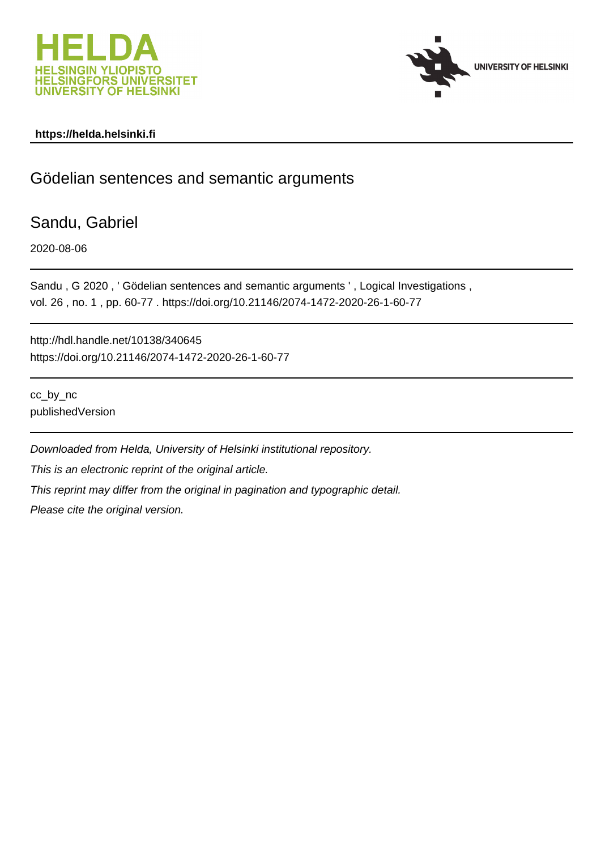



# **https://helda.helsinki.fi**

# Gödelian sentences and semantic arguments

Sandu, Gabriel

2020-08-06

Sandu , G 2020 , ' Gödelian sentences and semantic arguments ' , Logical Investigations , vol. 26 , no. 1 , pp. 60-77 . https://doi.org/10.21146/2074-1472-2020-26-1-60-77

http://hdl.handle.net/10138/340645 https://doi.org/10.21146/2074-1472-2020-26-1-60-77

cc\_by\_nc publishedVersion

Downloaded from Helda, University of Helsinki institutional repository. This is an electronic reprint of the original article. This reprint may differ from the original in pagination and typographic detail. Please cite the original version.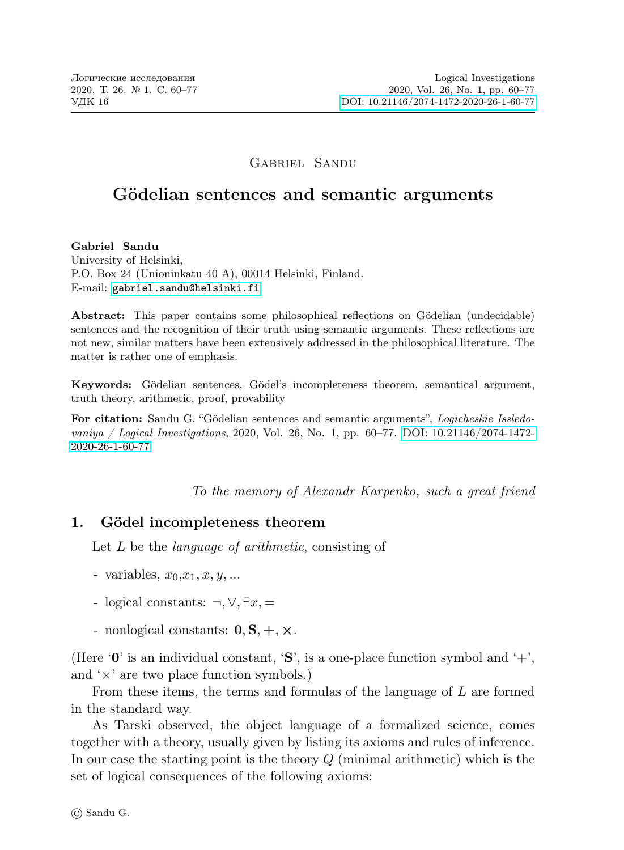### Gabriel Sandu

# Gödelian sentences and semantic arguments

Gabriel Sandu

University of Helsinki, P.O. Box 24 (Unioninkatu 40 A), 00014 Helsinki, Finland. E-mail: [gabriel.sandu@helsinki.fi](mailto:gabriel.sandu@helsinki.fi)

Abstract: This paper contains some philosophical reflections on Gödelian (undecidable) sentences and the recognition of their truth using semantic arguments. These reflections are not new, similar matters have been extensively addressed in the philosophical literature. The matter is rather one of emphasis.

Keywords: Gödelian sentences, Gödel's incompleteness theorem, semantical argument, truth theory, arithmetic, proof, provability

For citation: Sandu G. "Gödelian sentences and semantic arguments", Logicheskie Issledovaniya / Logical Investigations, 2020, Vol. 26, No. 1, pp.  $60-77$ . DOI:  $10.21146/2074-1472-$ [2020-26-1-60-77](http://dx.doi.org/10.21146/2074-1472-2020-26-1-60-77)

To the memory of Alexandr Karpenko, such a great friend

## 1. Gödel incompleteness theorem

Let L be the *language of arithmetic*, consisting of

- variables,  $x_0, x_1, x, y, \ldots$
- logical constants:  $\neg, \vee, \exists x, =$
- nonlogical constants:  $0, S, +, \times$ .

(Here  $\mathbf{0}'$  is an individual constant,  $\mathbf{S}'$ , is a one-place function symbol and  $\mathbf{+}'$ . and  $\forall x$  are two place function symbols.)

From these items, the terms and formulas of the language of L are formed in the standard way.

As Tarski observed, the object language of a formalized science, comes together with a theory, usually given by listing its axioms and rules of inference. In our case the starting point is the theory Q (minimal arithmetic) which is the set of logical consequences of the following axioms: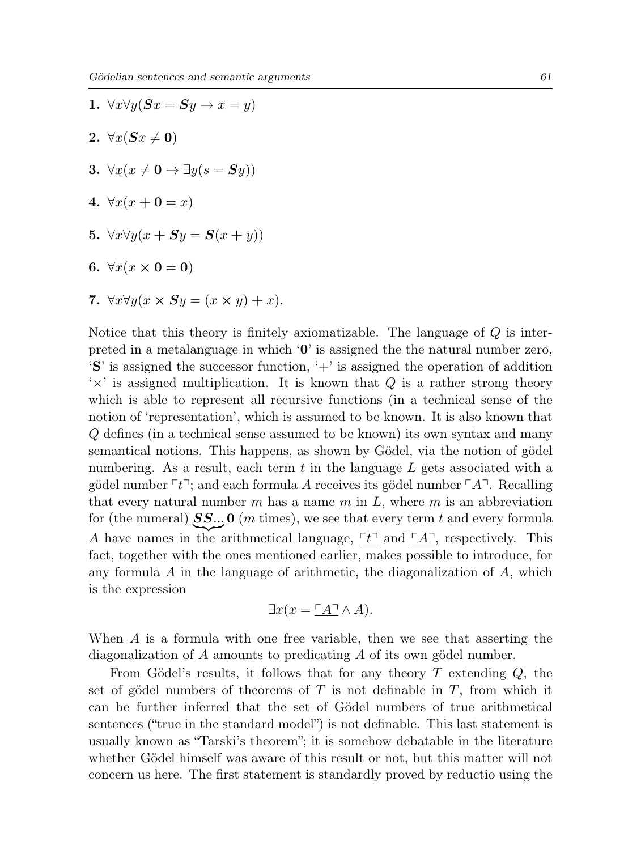- 1.  $\forall x \forall y (\mathbf{S} x = \mathbf{S} y \rightarrow x = y)$ 2.  $\forall x(Sx \neq 0)$ 3.  $\forall x (x \neq 0 \rightarrow \exists y (s = Sy))$ 4.  $\forall x(x + 0 = x)$ 5.  $\forall x \forall y (x + Sy = S(x + y))$ 6.  $\forall x (x \times 0 = 0)$
- 7.  $\forall x \forall y (x \times Sy = (x \times y) + x).$

Notice that this theory is finitely axiomatizable. The language of  $Q$  is interpreted in a metalanguage in which  $\mathbf{0}'$  is assigned the the natural number zero,  $\mathbf{S}'\mathbf{S}'$  is assigned the successor function,  $\mathbf{S}'$  is assigned the operation of addition  $\forall x'$  is assigned multiplication. It is known that Q is a rather strong theory which is able to represent all recursive functions (in a technical sense of the notion of 'representation', which is assumed to be known. It is also known that Q defines (in a technical sense assumed to be known) its own syntax and many semantical notions. This happens, as shown by Gödel, via the notion of gödel numbering. As a result, each term  $t$  in the language  $L$  gets associated with a gödel number  $\lceil t \rceil$ ; and each formula A receives its gödel number  $\lceil A \rceil$ . Recalling that every natural number m has a name  $\underline{m}$  in  $L$ , where  $\underline{m}$  is an abbreviation for (the numeral)  $SS..$  O (m times), we see that every term t and every formula A have names in the arithmetical language,  $\boxed{t}$  and  $\boxed{A}$ , respectively. This fact, together with the ones mentioned earlier, makes possible to introduce, for any formula  $A$  in the language of arithmetic, the diagonalization of  $A$ , which is the expression

$$
\exists x (x = \underline{\ulcorner A \urcorner} \land A).
$$

When A is a formula with one free variable, then we see that asserting the diagonalization of A amounts to predicating A of its own gödel number.

From Gödel's results, it follows that for any theory  $T$  extending  $Q$ , the set of gödel numbers of theorems of T is not definable in  $T$ , from which it can be further inferred that the set of Gödel numbers of true arithmetical sentences ("true in the standard model") is not definable. This last statement is usually known as "Tarski's theorem"; it is somehow debatable in the literature whether Gödel himself was aware of this result or not, but this matter will not concern us here. The first statement is standardly proved by reductio using the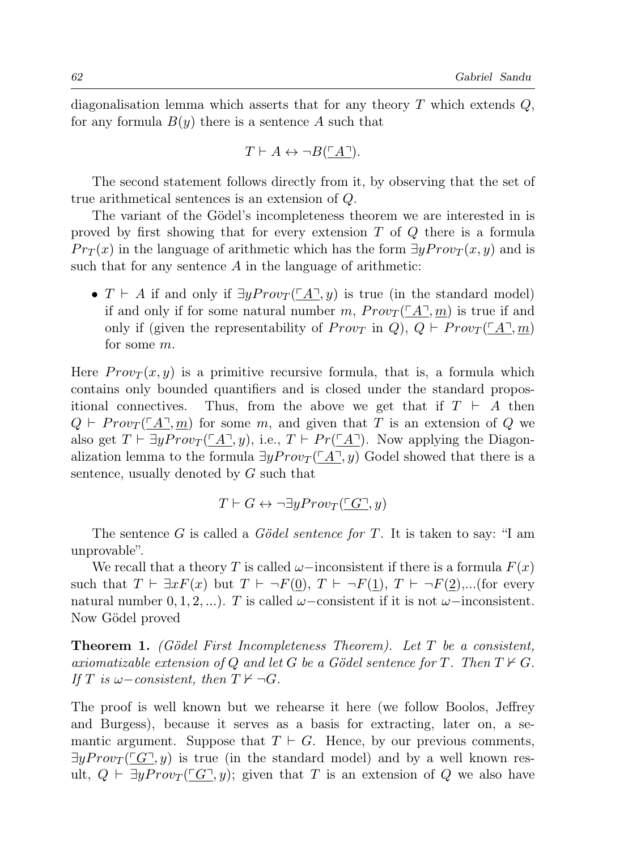diagonalisation lemma which asserts that for any theory  $T$  which extends  $Q$ , for any formula  $B(y)$  there is a sentence A such that

$$
T \vdash A \leftrightarrow \neg B(\underline{\ulcorner A \urcorner}).
$$

The second statement follows directly from it, by observing that the set of true arithmetical sentences is an extension of Q.

The variant of the Gödel's incompleteness theorem we are interested in is proved by first showing that for every extension T of Q there is a formula  $Pr_T(x)$  in the language of arithmetic which has the form  $\exists y Prov_T(x, y)$  and is such that for any sentence  $A$  in the language of arithmetic:

•  $T \vdash A$  if and only if  $\exists y Prov_T(\underline{A}, y)$  is true (in the standard model) if and only if for some natural number m,  $Prov_T(\ulcorner A \urcorner, m)$  is true if and only if (given the representability of  $Prov_T$  in Q),  $Q \vdash Prov_T({^{\Gamma}A}^{\neg}, m)$ for some m.

Here  $Prov_T(x, y)$  is a primitive recursive formula, that is, a formula which contains only bounded quantifiers and is closed under the standard propositional connectives. Thus, from the above we get that if  $T \vdash A$  then  $Q \vdash \text{Prov}_T(\ulcorner A \urcorner, m)$  for some m, and given that T is an extension of Q we also get  $T \vdash \exists y Prov_T (\ulcorner A \urcorner, y)$ , i.e.,  $T \vdash Pr(\ulcorner A \urcorner)$ . Now applying the Diagonalization lemma to the formula  $\exists y Prov_{T}(\ulcorner A\urcorner, y)$  Godel showed that there is a sentence, usually denoted by G such that

$$
T \vdash G \leftrightarrow \neg \exists y Prov_T(\ulcorner G \urcorner, y)
$$

The sentence G is called a Gödel sentence for T. It is taken to say: "I am unprovable".

We recall that a theory T is called  $\omega$ –inconsistent if there is a formula  $F(x)$ such that  $T \vdash \exists x F(x)$  but  $T \vdash \neg F(0), T \vdash \neg F(1), T \vdash \neg F(2), \dots$  (for every natural number  $(0, 1, 2, \ldots)$ . T is called  $\omega$ –consistent if it is not  $\omega$ –inconsistent. Now Gödel proved

**Theorem 1.** (Gödel First Incompleteness Theorem). Let T be a consistent, axiomatizable extension of Q and let G be a Gödel sentence for T. Then  $T \nvdash G$ . If T is  $\omega$ -consistent, then  $T \nvdash \neg G$ .

The proof is well known but we rehearse it here (we follow Boolos, Jeffrey and Burgess), because it serves as a basis for extracting, later on, a semantic argument. Suppose that  $T \vdash G$ . Hence, by our previous comments,  $\exists yProv_T$  ( $\Box$  $\Box$ ) is true (in the standard model) and by a well known result,  $Q \vdash \exists y Prov_T(\ulcorner G \urcorner, y);$  given that T is an extension of Q we also have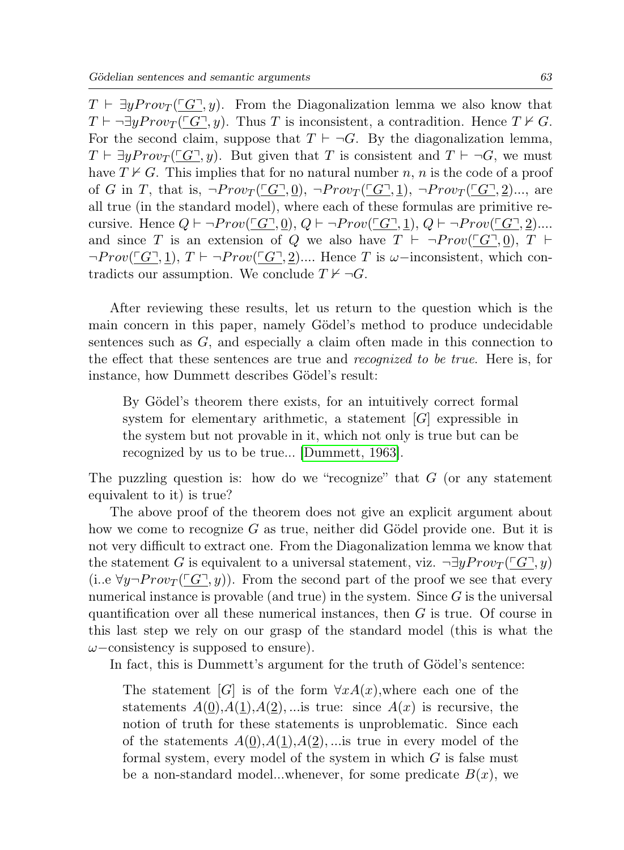$T \vdash \exists y Prov_T (\ulcorner G \urcorner, y)$ . From the Diagonalization lemma we also know that  $T \vdash \neg \exists y Prov_T (\ulcorner G \urcorner, y)$ . Thus T is inconsistent, a contradition. Hence  $T \nvdash G$ . For the second claim, suppose that  $T \vdash \neg G$ . By the diagonalization lemma,  $T \vdash \exists y Prov_{T}(\ulcorner G \urcorner, y)$ . But given that T is consistent and  $T \vdash \neg G$ , we must have  $T \nvdash G$ . This implies that for no natural number n, n is the code of a proof of G in T, that is,  $\neg Prov_T(\ulcorner G\urcorner, 0)$ ,  $\neg Prov_T(\ulcorner G\urcorner, 1)$ ,  $\neg Prov_T(\ulcorner G\urcorner, 2)$ ..., are all true (in the standard model), where each of these formulas are primitive recursive. Hence  $Q \vdash \neg Prov(\ulcorner G \urcorner, 0), Q \vdash \neg Prov(\ulcorner G \urcorner, 1), Q \vdash \neg Prov(\ulcorner G \urcorner, 2)$ .... and since T is an extension of Q we also have  $T \vdash \neg Prov(\ulcorner G \urcorner, 0), T \vdash$  $\neg Prov(\ulcorner G\urcorner, 1), T \vdash \neg Prov(\ulcorner G\urcorner, 2) \dots$  Hence T is  $\omega$ -inconsistent, which contradicts our assumption. We conclude  $T \nvdash \neg G$ .

After reviewing these results, let us return to the question which is the main concern in this paper, namely Gödel's method to produce undecidable sentences such as  $G$ , and especially a claim often made in this connection to the effect that these sentences are true and recognized to be true. Here is, for instance, how Dummett describes Gödel's result:

By Gödel's theorem there exists, for an intuitively correct formal system for elementary arithmetic, a statement  $[G]$  expressible in the system but not provable in it, which not only is true but can be recognized by us to be true... [Dummett, 1963].

The puzzling question is: how do we "recognize" that  $G$  (or any statement equivalent to it) is true?

The above proof of the theorem does not give an explicit argument about how we come to recognize  $G$  as true, neither did Gödel provide one. But it is not very difficult to extract one. From the Diagonalization lemma we know that the statement G is equivalent to a universal statement, viz.  $\neg \exists y Prov_{T}(\ulcorner G \urcorner, y)$ (i..e  $\forall y \neg Prov_{T}(\ulcorner G \urcorner, y)$ ). From the second part of the proof we see that every numerical instance is provable (and true) in the system. Since  $G$  is the universal quantification over all these numerical instances, then G is true. Of course in this last step we rely on our grasp of the standard model (this is what the  $\omega$ –consistency is supposed to ensure).

In fact, this is Dummett's argument for the truth of Gödel's sentence:

The statement [G] is of the form  $\forall x A(x)$ , where each one of the statements  $A(0), A(1), A(2), \dots$  is true: since  $A(x)$  is recursive, the notion of truth for these statements is unproblematic. Since each of the statements  $A(0), A(1), A(2), \dots$  is true in every model of the formal system, every model of the system in which  $G$  is false must be a non-standard model...whenever, for some predicate  $B(x)$ , we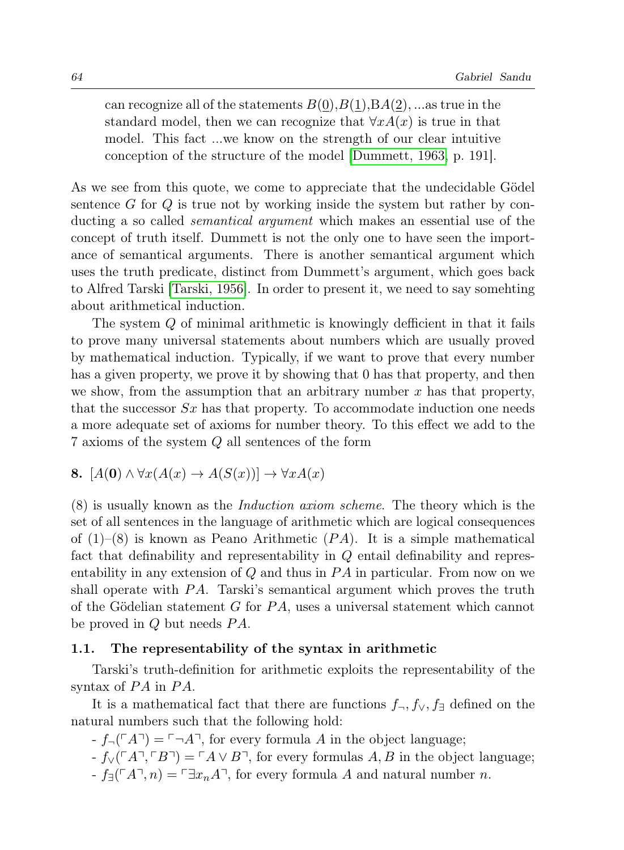can recognize all of the statements  $B(0), B(1), BA(2), \ldots$  as true in the standard model, then we can recognize that  $\forall x A(x)$  is true in that model. This fact ...we know on the strength of our clear intuitive conception of the structure of the model [Dummett, 1963, p. 191].

As we see from this quote, we come to appreciate that the undecidable Gödel sentence  $G$  for  $Q$  is true not by working inside the system but rather by conducting a so called semantical argument which makes an essential use of the concept of truth itself. Dummett is not the only one to have seen the importance of semantical arguments. There is another semantical argument which uses the truth predicate, distinct from Dummett's argument, which goes back to Alfred Tarski [Tarski, 1956]. In order to present it, we need to say somehting about arithmetical induction.

The system Q of minimal arithmetic is knowingly defficient in that it fails to prove many universal statements about numbers which are usually proved by mathematical induction. Typically, if we want to prove that every number has a given property, we prove it by showing that 0 has that property, and then we show, from the assumption that an arbitrary number  $x$  has that property, that the successor  $Sx$  has that property. To accommodate induction one needs a more adequate set of axioms for number theory. To this effect we add to the 7 axioms of the system Q all sentences of the form

8. 
$$
[A(0) \land \forall x (A(x) \to A(S(x))] \to \forall x A(x)
$$

(8) is usually known as the Induction axiom scheme. The theory which is the set of all sentences in the language of arithmetic which are logical consequences of  $(1)$ – $(8)$  is known as Peano Arithmetic  $(PA)$ . It is a simple mathematical fact that definability and representability in Q entail definability and representability in any extension of  $Q$  and thus in  $PA$  in particular. From now on we shall operate with  $PA$ . Tarski's semantical argument which proves the truth of the Gödelian statement  $G$  for  $PA$ , uses a universal statement which cannot be proved in  $Q$  but needs  $PA$ .

#### 1.1. The representability of the syntax in arithmetic

Tarski's truth-definition for arithmetic exploits the representability of the syntax of  $PA$  in  $PA$ .

It is a mathematical fact that there are functions  $f_{\neg}$ ,  $f_{\vee}$ ,  $f_{\exists}$  defined on the natural numbers such that the following hold:

 $-f_{\neg}(\ulcorner A\urcorner) = \ulcorner \neg A\urcorner$ , for every formula A in the object language;

 $f_{\vee}(\ulcorner A\urcorner, \ulcorner B\urcorner) = \ulcorner A \vee B\urcorner$ , for every formulas A, B in the object language;  $-f_{\exists}(\ulcorner A\urcorner, n) = \ulcorner \exists x_nA\urcorner$ , for every formula A and natural number n.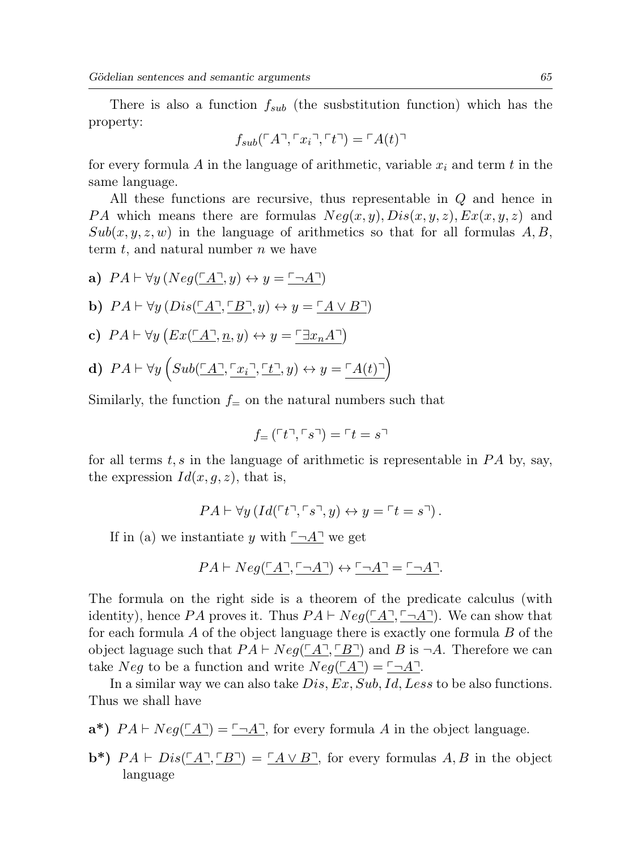There is also a function  $f_{sub}$  (the susbstitution function) which has the property:

$$
f_{sub}(\ulcorner A\urcorner, \ulcorner x_i\urcorner, \ulcorner t\urcorner) = \ulcorner A(t)\urcorner
$$

for every formula A in the language of arithmetic, variable  $x_i$  and term t in the same language.

All these functions are recursive, thus representable in Q and hence in PA which means there are formulas  $Neg(x, y), Dis(x, y, z), Ex(x, y, z)$  and  $Sub(x, y, z, w)$  in the language of arithmetics so that for all formulas A, B, term  $t$ , and natural number  $n$  we have

a)  $PA \vdash \forall y (Neg(\ulcorner A \urcorner, y) \leftrightarrow y = \ulcorner \neg A \urcorner)$ b)  $PA \vdash \forall y (Dis(\ulcorner A \urcorner, \ulcorner B \urcorner, y) \leftrightarrow y = \ulcorner A \vee B \urcorner)$ c)  $PA \vdash \forall y \left( Ex(\underline{\ulcorner A \urcorner}, \underline{n}, y) \leftrightarrow y = \underline{\ulcorner \exists x_n A \urcorner} \right)$ d)  $PA \vdash \forall y \left(Sub(\underline{\ulcorner}A\underline{\urcorner}, \underline{\ulcorner}x_i\underline{\urcorner}, \underline{\ulcorner t\underline{\urcorner}}, y) \leftrightarrow y = \ulcorner A(t)\underline{\urcorner}\right)$ 

Similarly, the function  $f_{\pm}$  on the natural numbers such that

$$
f_{=}(\ulcorner t\urcorner,\ulcorner s\urcorner)=\ulcorner t=s\urcorner
$$

for all terms t, s in the language of arithmetic is representable in  $PA$  by, say, the expression  $Id(x, q, z)$ , that is,

$$
PA \vdash \forall y \left( Id(\ulcorner t \urcorner, \ulcorner s \urcorner, y) \leftrightarrow y = \ulcorner t = s \urcorner \right).
$$

If in (a) we instantiate y with  $\neg A^{\dagger}$  we get

$$
PA \vdash Neg(\underline{\ulcorner A\urcorner, \ulcorner \neg A\urcorner)} \leftrightarrow \underline{\ulcorner \neg A\urcorner} = \underline{\ulcorner \neg A\urcorner}.
$$

The formula on the right side is a theorem of the predicate calculus (with identity), hence PA proves it. Thus  $PA \vdash Neg(\ulcorner A \urcorner, \ulcorner \neg A \urcorner)$ . We can show that for each formula  $\tilde{A}$  of the object language there is exactly one formula  $\tilde{B}$  of the object laguage such that  $PA \vdash Neg(\underline{\ulcorner A}\underline{\urcorner, \underline{\ulcorner B}\underline{\urcorner}})$  and B is  $\neg A$ . Therefore we can take Neg to be a function and write  $Neq(\ulcorner A\urcorner) = \ulcorner \neg A\urcorner$ .

In a similar way we can also take  $Dis, Ex, Sub, Id, Less$  to be also functions. Thus we shall have

- $\mathbf{a}^*$ )  $PA \vdash Neg(\underline{\ulcorner}A\underline{\urcorner}) = \underline{\ulcorner \neg A\underline{\urcorner}}$ , for every formula A in the object language.
- $\mathbf{b}^*$ )  $PA \vdash Dis(\underline{A}, \underline{B}) = \underline{A} \vee \underline{B}$ , for every formulas  $A, B$  in the object language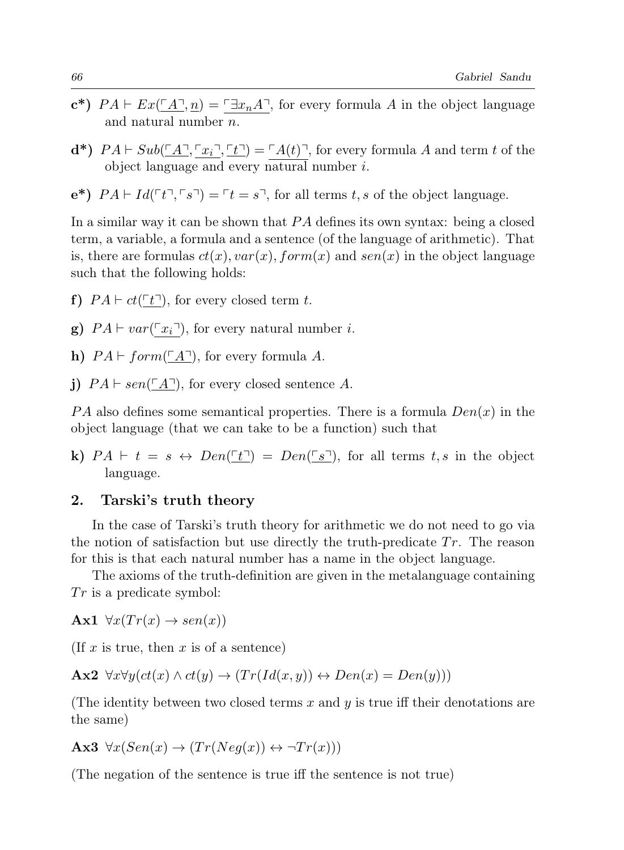- $\mathbf{c}^*$ )  $PA \vdash Ex(\ulcorner A \urcorner, n) = \ulcorner \exists x_nA \urcorner$ , for every formula A in the object language and natural number n.
- $\mathbf{d}^*$ )  $PA \vdash Sub(\underline{A}, \underline{a}, \underline{b}, \underline{b}) = \underline{a}(t)$ , for every formula A and term t of the object language and every natural number i.
- $e^*$ )  $PA \vdash Id(\ulcorner t \urcorner, \ulcorner s \urcorner) = \ulcorner t = s \urcorner$ , for all terms t, s of the object language.

In a similar way it can be shown that  $PA$  defines its own syntax: being a closed term, a variable, a formula and a sentence (of the language of arithmetic). That is, there are formulas  $ct(x)$ ,  $var(x)$ ,  $form(x)$  and  $sen(x)$  in the object language such that the following holds:

- f)  $PA \vdash ct(\ulcorner t \urcorner)$ , for every closed term t.
- g)  $PA \vdash var(\lceil x_i \rceil)$ , for every natural number i.
- h)  $PA \vdash form(\ulcorner A \urcorner)$ , for every formula A.
- j)  $PA \vdash sen(\ulcorner A \urcorner)$ , for every closed sentence A.

PA also defines some semantical properties. There is a formula  $Den(x)$  in the object language (that we can take to be a function) such that

k)  $PA \vdash t = s \leftrightarrow Den(\underline{f} \underline{f}) = Den(\underline{f} \underline{s})$ , for all terms  $t, s$  in the object language.

#### 2. Tarski's truth theory

In the case of Tarski's truth theory for arithmetic we do not need to go via the notion of satisfaction but use directly the truth-predicate  $Tr$ . The reason for this is that each natural number has a name in the object language.

The axioms of the truth-definition are given in the metalanguage containing  $Tr$  is a predicate symbol:

Ax1  $\forall x (Tr(x) \rightarrow sen(x))$ 

(If x is true, then x is of a sentence)

 $\mathbf{Ax2} \; \forall x \forall y (ct(x) \land ct(y) \rightarrow (Tr(Id(x, y)) \leftrightarrow Den(x) = Den(y)))$ 

(The identity between two closed terms x and  $y$  is true iff their denotations are the same)

$$
Ax3 \ \forall x(Sen(x) \to (Tr(Neg(x)) \leftrightarrow \neg Tr(x)))
$$

(The negation of the sentence is true iff the sentence is not true)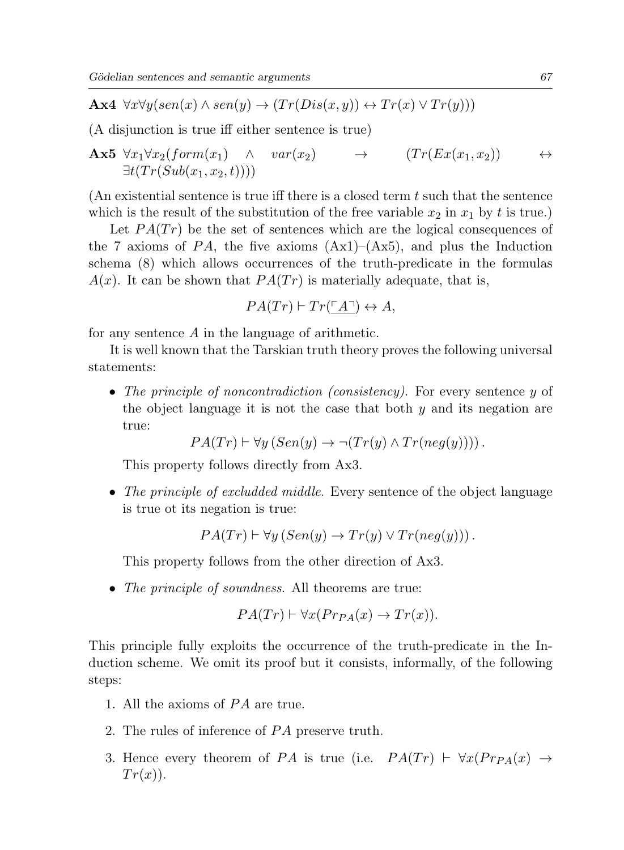Ax4  $\forall x \forall y (sen(x) \land sen(y) \rightarrow (Tr(Dis(x, y)) \leftrightarrow Tr(x) \lor Tr(y)))$ 

(A disjunction is true iff either sentence is true)

$$
\mathbf{Ax5} \ \forall x_1 \forall x_2 (form(x_1) \land var(x_2) \rightarrow (Tr(Ex(x_1, x_2)) \leftrightarrow \exists t (Tr(Sub(x_1, x_2, t))))
$$

(An existential sentence is true iff there is a closed term  $t$  such that the sentence which is the result of the substitution of the free variable  $x_2$  in  $x_1$  by t is true.)

Let  $PA(Tr)$  be the set of sentences which are the logical consequences of the 7 axioms of PA, the five axioms  $(Ax1)-(Ax5)$ , and plus the Induction schema (8) which allows occurrences of the truth-predicate in the formulas  $A(x)$ . It can be shown that  $PA(Tr)$  is materially adequate, that is,

$$
PA(Tr) \vdash Tr(\underline{\ulcorner A \urcorner}) \leftrightarrow A,
$$

for any sentence A in the language of arithmetic.

It is well known that the Tarskian truth theory proves the following universal statements:

• The principle of noncontradiction (consistency). For every sentence  $y$  of the object language it is not the case that both  $y$  and its negation are true:

$$
PA(Tr) \vdash \forall y (Sen(y) \rightarrow \neg (Tr(y) \land Tr(neg(y))))
$$
.

This property follows directly from Ax3.

• The principle of excludded middle. Every sentence of the object language is true ot its negation is true:

 $PA(Tr) \vdash \forall y (Sen(y) \rightarrow Tr(y) \vee Tr(neq(y))).$ 

This property follows from the other direction of Ax3.

• The principle of soundness. All theorems are true:

$$
PA(Tr) \vdash \forall x (Pr_{PA}(x) \rightarrow Tr(x)).
$$

This principle fully exploits the occurrence of the truth-predicate in the Induction scheme. We omit its proof but it consists, informally, of the following steps:

- 1. All the axioms of  $PA$  are true.
- 2. The rules of inference of PA preserve truth.
- 3. Hence every theorem of PA is true (i.e.  $PA(Tr) \vdash \forall x (Pr_{PA}(x) \rightarrow$  $Tr(x)$ ).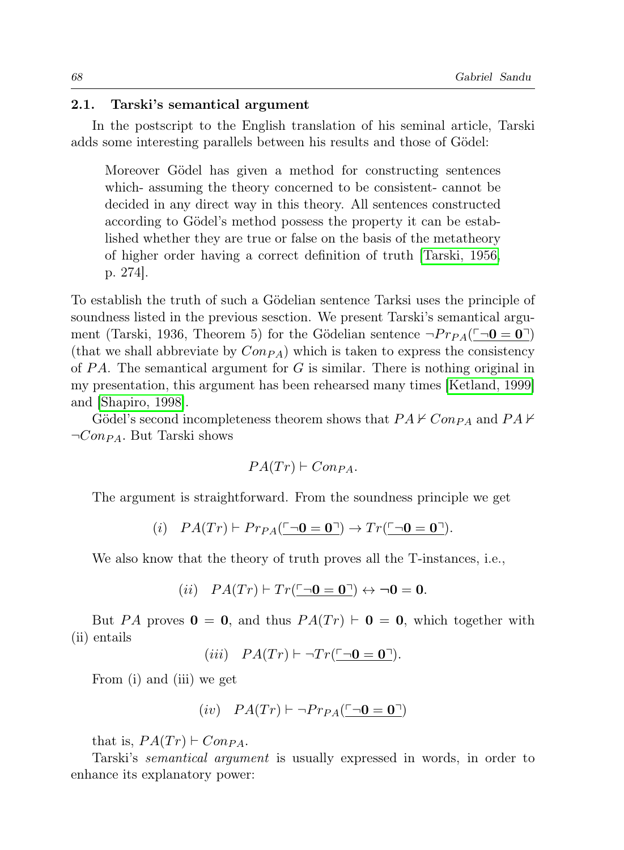#### 2.1. Tarski's semantical argument

In the postscript to the English translation of his seminal article, Tarski adds some interesting parallels between his results and those of Gödel:

Moreover Gödel has given a method for constructing sentences which- assuming the theory concerned to be consistent- cannot be decided in any direct way in this theory. All sentences constructed according to Gödel's method possess the property it can be established whether they are true or false on the basis of the metatheory of higher order having a correct definition of truth [Tarski, 1956, p. 274].

To establish the truth of such a Gödelian sentence Tarksi uses the principle of soundness listed in the previous sesction. We present Tarski's semantical argument (Tarski, 1936, Theorem 5) for the Gödelian sentence  $\neg Pr_{PA}(\square \neg \mathbf{0} = \mathbf{0}^T)$ (that we shall abbreviate by  $Con_{PA}$ ) which is taken to express the consistency of  $PA$ . The semantical argument for G is similar. There is nothing original in my presentation, this argument has been rehearsed many times [Ketland, 1999] and [Shapiro, 1998].

Gödel's second incompleteness theorem shows that  $PA \nvdash Com_{PA}$  and  $PA \nvdash$  $\neg Con_{PA}$ . But Tarski shows

$$
PA(Tr) \vdash Con_{PA}.
$$

The argument is straightforward. From the soundness principle we get

$$
(i) \quad PA(Tr) \vdash Pr_{PA}(\underline{\ulcorner \neg \mathbf{0} = \mathbf{0} \urcorner}) \rightarrow Tr(\underline{\ulcorner \neg \mathbf{0} = \mathbf{0} \urcorner}).
$$

We also know that the theory of truth proves all the T-instances, i.e.,

(ii)  $PA(Tr) \vdash Tr(\ulcorner \neg 0 = 0 \urcorner) \leftrightarrow \neg 0 = 0.$ 

But PA proves  $\mathbf{0} = \mathbf{0}$ , and thus  $PA(Tr) \vdash \mathbf{0} = \mathbf{0}$ , which together with (ii) entails

$$
(iii) \quad PA(Tr) \vdash \neg Tr(\overline{\Box 0} = 0 \overline{\Box}).
$$

From (i) and (iii) we get

$$
(iv)\quad PA(Tr)\vdash \neg Pr_{PA}(\underline{\ulcorner \neg \mathbf{0} = \mathbf{0}\urcorner})
$$

that is,  $PA(Tr) \vdash Con_{PA}$ .

Tarski's semantical argument is usually expressed in words, in order to enhance its explanatory power: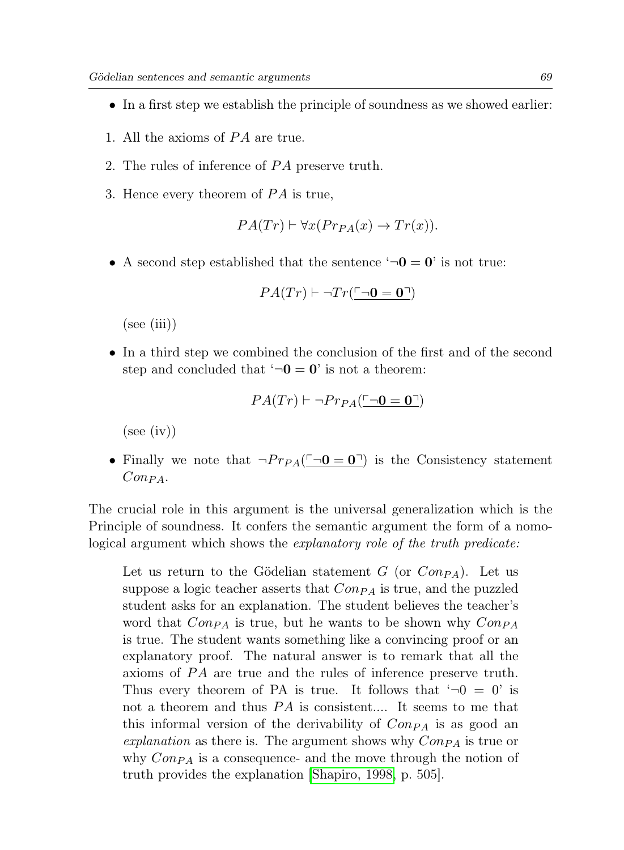- In a first step we establish the principle of soundness as we showed earlier:
- 1. All the axioms of  $PA$  are true.
- 2. The rules of inference of PA preserve truth.
- 3. Hence every theorem of  $PA$  is true,

$$
PA(Tr) \vdash \forall x (Pr_{PA}(x) \rightarrow Tr(x)).
$$

• A second step established that the sentence  $\mathbf{v} - \mathbf{0} = \mathbf{0}$  is not true:

$$
PA(Tr) \vdash \neg Tr(\overline{\Box 0} = 0 \overline{\Box})
$$

 $(see (iii))$ 

• In a third step we combined the conclusion of the first and of the second step and concluded that  $\theta = 0$  is not a theorem:

$$
PA(Tr) \vdash \neg Pr_{PA}(\ulcorner \neg \mathbf{0} = \mathbf{0} \urcorner)
$$

 $(see (iv))$ 

• Finally we note that  $\neg Pr_{PA}(\Box 0 = 0 \Box)$  is the Consistency statement  $Con_{PA}$ .

The crucial role in this argument is the universal generalization which is the Principle of soundness. It confers the semantic argument the form of a nomological argument which shows the explanatory role of the truth predicate:

Let us return to the Gödelian statement  $G$  (or  $Con_{PA}$ ). Let us suppose a logic teacher asserts that  $Con_{PA}$  is true, and the puzzled student asks for an explanation. The student believes the teacher's word that  $Comp_A$  is true, but he wants to be shown why  $Comp_A$ is true. The student wants something like a convincing proof or an explanatory proof. The natural answer is to remark that all the axioms of PA are true and the rules of inference preserve truth. Thus every theorem of PA is true. It follows that  $\theta - 0 = 0$  is not a theorem and thus  $PA$  is consistent.... It seems to me that this informal version of the derivability of  $Con_{PA}$  is as good an explanation as there is. The argument shows why  $Con_{PA}$  is true or why  $Comp_A$  is a consequence- and the move through the notion of truth provides the explanation [Shapiro, 1998, p. 505].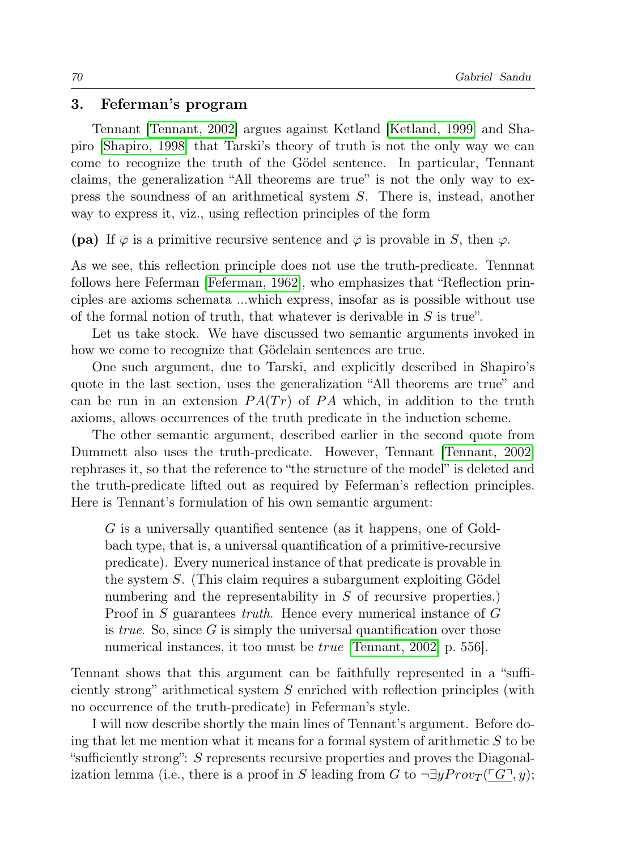#### 3. Feferman's program

Tennant [Tennant, 2002] argues against Ketland [Ketland, 1999] and Shapiro [Shapiro, 1998] that Tarski's theory of truth is not the only way we can come to recognize the truth of the Gödel sentence. In particular, Tennant claims, the generalization "All theorems are true" is not the only way to express the soundness of an arithmetical system S. There is, instead, another way to express it, viz., using reflection principles of the form

(pa) If  $\overline{\varphi}$  is a primitive recursive sentence and  $\overline{\varphi}$  is provable in S, then  $\varphi$ .

As we see, this reflection principle does not use the truth-predicate. Tennnat follows here Feferman [Feferman, 1962], who emphasizes that "Reflection principles are axioms schemata ...which express, insofar as is possible without use of the formal notion of truth, that whatever is derivable in  $S$  is true".

Let us take stock. We have discussed two semantic arguments invoked in how we come to recognize that Gödelain sentences are true.

One such argument, due to Tarski, and explicitly described in Shapiro's quote in the last section, uses the generalization "All theorems are true" and can be run in an extension  $PA(Tr)$  of PA which, in addition to the truth axioms, allows occurrences of the truth predicate in the induction scheme.

The other semantic argument, described earlier in the second quote from Dummett also uses the truth-predicate. However, Tennant [Tennant, 2002] rephrases it, so that the reference to "the structure of the model" is deleted and the truth-predicate lifted out as required by Feferman's reflection principles. Here is Tennant's formulation of his own semantic argument:

G is a universally quantified sentence (as it happens, one of Goldbach type, that is, a universal quantification of a primitive-recursive predicate). Every numerical instance of that predicate is provable in the system  $S$ . (This claim requires a subargument exploiting Gödel numbering and the representability in S of recursive properties.) Proof in S guarantees truth. Hence every numerical instance of G is *true*. So, since  $G$  is simply the universal quantification over those numerical instances, it too must be *true* [Tennant, 2002, p. 556].

Tennant shows that this argument can be faithfully represented in a "sufficiently strong" arithmetical system  $S$  enriched with reflection principles (with no occurrence of the truth-predicate) in Feferman's style.

I will now describe shortly the main lines of Tennant's argument. Before doing that let me mention what it means for a formal system of arithmetic  $S$  to be "sufficiently strong": S represents recursive properties and proves the Diagonalization lemma (i.e., there is a proof in S leading from G to  $\neg \exists y Prov_{T}(\ulcorner G\urcorner u)$ ;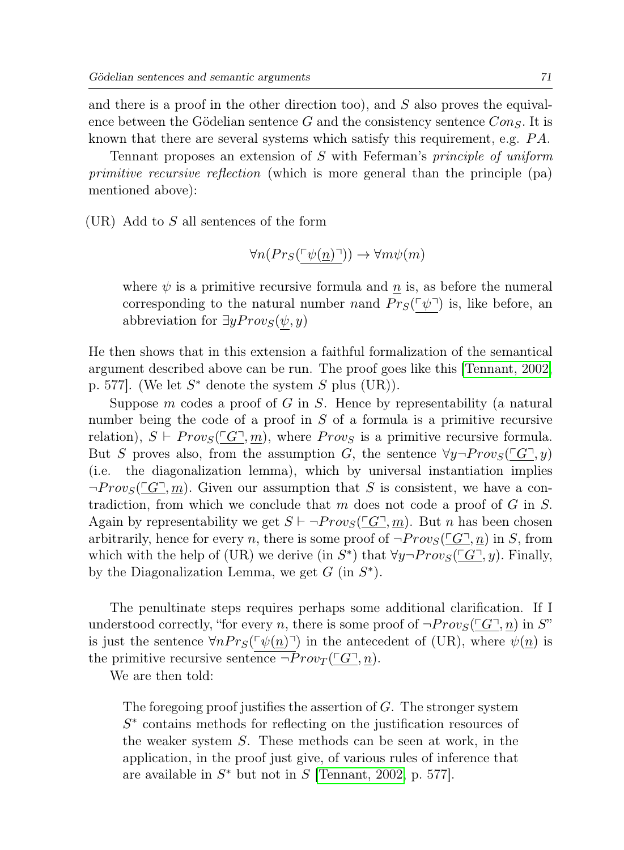and there is a proof in the other direction too), and S also proves the equivalence between the Gödelian sentence G and the consistency sentence  $Con_S$ . It is known that there are several systems which satisfy this requirement, e.g.  $PA$ .

Tennant proposes an extension of S with Feferman's principle of uniform primitive recursive reflection (which is more general than the principle (pa) mentioned above):

 $(UR)$  Add to S all sentences of the form

$$
\forall n (Pr_S(\ulcorner \psi(\underline{n}) \urcorner)) \rightarrow \forall m \psi(m)
$$

where  $\psi$  is a primitive recursive formula and n is, as before the numeral corresponding to the natural number nand  $Pr_S(\lceil \psi \rceil)$  is, like before, an abbreviation for  $\exists y Prov_S(\psi, y)$ 

He then shows that in this extension a faithful formalization of the semantical argument described above can be run. The proof goes like this [Tennant, 2002, p. 577]. (We let  $S^*$  denote the system S plus (UR)).

Suppose m codes a proof of G in S. Hence by representability (a natural number being the code of a proof in  $S$  of a formula is a primitive recursive relation),  $S \vdash Prov_S(\ulcorner G\urcorner, m)$ , where  $Prov_S$  is a primitive recursive formula. But S proves also, from the assumption G, the sentence  $\forall y \neg Provs(\ulcorner G \urcorner, y)$ (i.e. the diagonalization lemma), which by universal instantiation implies  $\neg Provs(\overline{G}, m)$ . Given our assumption that S is consistent, we have a contradiction, from which we conclude that m does not code a proof of  $G$  in  $S$ . Again by representability we get  $S \vdash \neg Provs(\ulcorner G \urcorner, m)$ . But n has been chosen arbitrarily, hence for every n, there is some proof of  $\neg Prov_{S}(T_{\alpha}T, n)$  in S, from which with the help of (UR) we derive (in  $S^*$ ) that  $\forall y \neg Provs(\Box G \Box, y)$ . Finally, by the Diagonalization Lemma, we get  $G$  (in  $S^*$ ).

The penultinate steps requires perhaps some additional clarification. If I understood correctly, "for every n, there is some proof of  $\neg Prov_S(\ulcorner G\urcorner, n)$  in S" is just the sentence  $\forall n Pr_S(\lceil \psi(n) \rceil)$  in the antecedent of (UR), where  $\psi(n)$  is the primitive recursive sentence  $\neg Prov_T(\underline{\ulcorner G\urcorner}, n)$ .

We are then told:

The foregoing proof justifies the assertion of  $G$ . The stronger system S<sup>∗</sup> contains methods for reflecting on the justification resources of the weaker system S. These methods can be seen at work, in the application, in the proof just give, of various rules of inference that are available in  $S^*$  but not in S [Tennant, 2002, p. 577].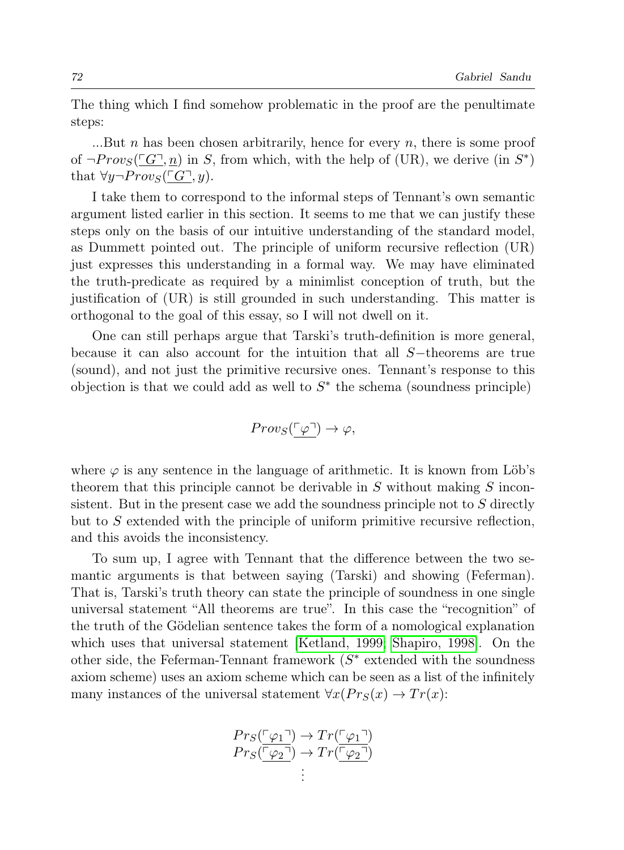The thing which I find somehow problematic in the proof are the penultimate steps:

...But n has been chosen arbitrarily, hence for every n, there is some proof of  $\neg Prov_{S}(\underline{G}, \underline{n})$  in S, from which, with the help of (UR), we derive (in  $S^*$ ) that  $\forall y \neg Provs(\ulcorner G \urcorner, y)$ .

I take them to correspond to the informal steps of Tennant's own semantic argument listed earlier in this section. It seems to me that we can justify these steps only on the basis of our intuitive understanding of the standard model, as Dummett pointed out. The principle of uniform recursive reflection (UR) just expresses this understanding in a formal way. We may have eliminated the truth-predicate as required by a minimlist conception of truth, but the justification of (UR) is still grounded in such understanding. This matter is orthogonal to the goal of this essay, so I will not dwell on it.

One can still perhaps argue that Tarski's truth-definition is more general, because it can also account for the intuition that all S−theorems are true (sound), and not just the primitive recursive ones. Tennant's response to this objection is that we could add as well to  $S^*$  the schema (soundness principle)

$$
Prov_S(\underline{\ulcorner \varphi \urcorner}) \to \varphi,
$$

where  $\varphi$  is any sentence in the language of arithmetic. It is known from Löb's theorem that this principle cannot be derivable in  $S$  without making  $S$  inconsistent. But in the present case we add the soundness principle not to  $S$  directly but to  $S$  extended with the principle of uniform primitive recursive reflection, and this avoids the inconsistency.

To sum up, I agree with Tennant that the difference between the two semantic arguments is that between saying (Tarski) and showing (Feferman). That is, Tarski's truth theory can state the principle of soundness in one single universal statement "All theorems are true". In this case the "recognition" of the truth of the Gödelian sentence takes the form of a nomological explanation which uses that universal statement [Ketland, 1999; Shapiro, 1998]. On the other side, the Feferman-Tennant framework  $(S^*$  extended with the soundness axiom scheme) uses an axiom scheme which can be seen as a list of the infinitely many instances of the universal statement  $\forall x (Pr_S(x) \rightarrow Tr(x))$ :

$$
Pr_S(\frac{\lceil \varphi_1 \rceil}{r} \to Tr(\frac{\lceil \varphi_1 \rceil}{r})
$$
  

$$
Pr_S(\frac{\lceil \varphi_2 \rceil}{r} \to Tr(\frac{\lceil \varphi_2 \rceil}{r})
$$
  
: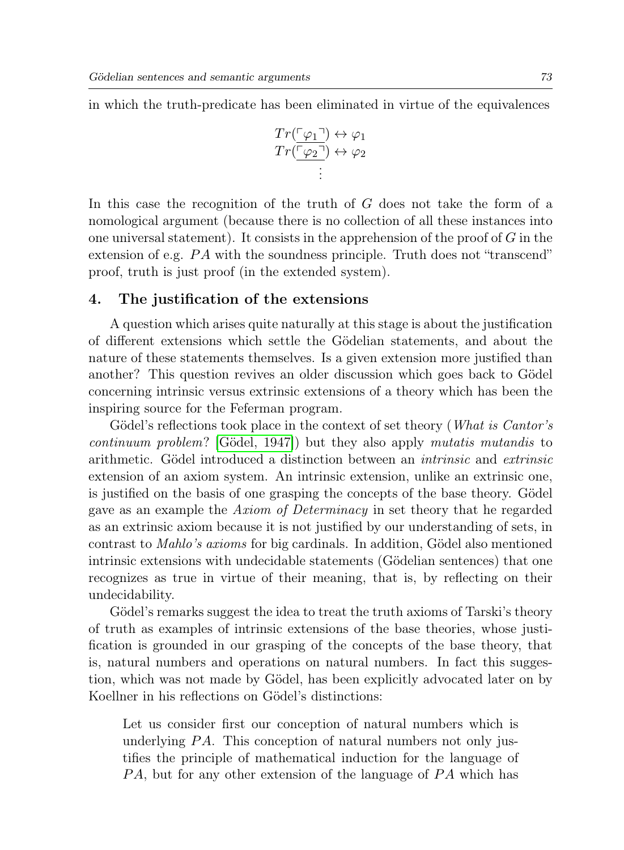in which the truth-predicate has been eliminated in virtue of the equivalences

$$
Tr\left(\begin{array}{c} \varphi_1 \end{array}\right) \leftrightarrow \varphi_1
$$
  

$$
Tr\left(\begin{array}{c} \varphi_2 \end{array}\right) \leftrightarrow \varphi_2
$$
  

$$
\vdots
$$

In this case the recognition of the truth of G does not take the form of a nomological argument (because there is no collection of all these instances into one universal statement). It consists in the apprehension of the proof of  $G$  in the extension of e.g.  $PA$  with the soundness principle. Truth does not "transcend" proof, truth is just proof (in the extended system).

#### 4. The justification of the extensions

A question which arises quite naturally at this stage is about the justification of different extensions which settle the G¨odelian statements, and about the nature of these statements themselves. Is a given extension more justified than another? This question revives an older discussion which goes back to Gödel concerning intrinsic versus extrinsic extensions of a theory which has been the inspiring source for the Feferman program.

Gödel's reflections took place in the context of set theory (*What is Cantor's*  $continuum$  problem? [Gödel, 1947]) but they also apply mutatis mutandis to arithmetic. Gödel introduced a distinction between an *intrinsic* and *extrinsic* extension of an axiom system. An intrinsic extension, unlike an extrinsic one, is justified on the basis of one grasping the concepts of the base theory. Gödel gave as an example the Axiom of Determinacy in set theory that he regarded as an extrinsic axiom because it is not justified by our understanding of sets, in contrast to *Mahlo's axioms* for big cardinals. In addition, Gödel also mentioned intrinsic extensions with undecidable statements (Gödelian sentences) that one recognizes as true in virtue of their meaning, that is, by reflecting on their undecidability.

Gödel's remarks suggest the idea to treat the truth axioms of Tarski's theory of truth as examples of intrinsic extensions of the base theories, whose justification is grounded in our grasping of the concepts of the base theory, that is, natural numbers and operations on natural numbers. In fact this suggestion, which was not made by Gödel, has been explicitly advocated later on by Koellner in his reflections on Gödel's distinctions:

Let us consider first our conception of natural numbers which is underlying  $PA$ . This conception of natural numbers not only justifies the principle of mathematical induction for the language of PA, but for any other extension of the language of PA which has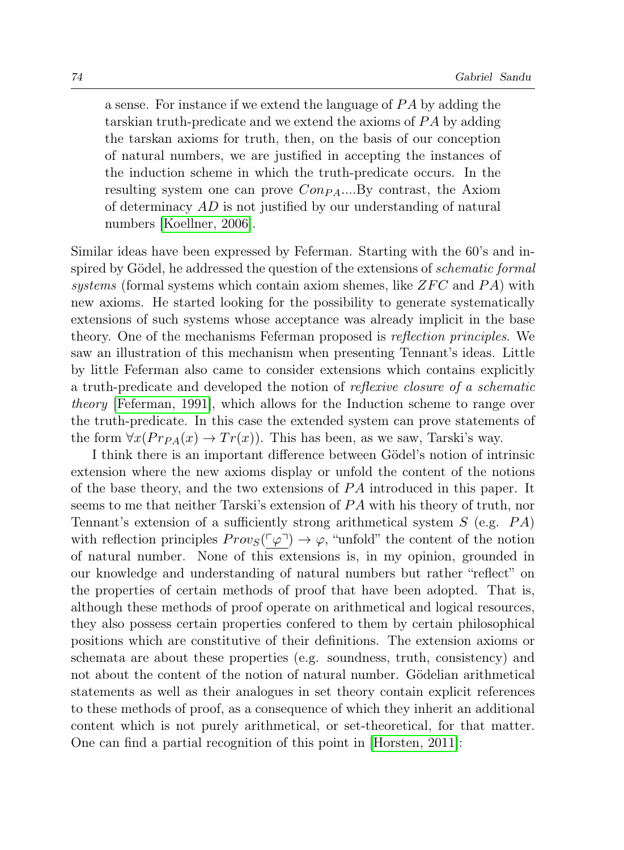a sense. For instance if we extend the language of  $PA$  by adding the tarskian truth-predicate and we extend the axioms of  $PA$  by adding the tarskan axioms for truth, then, on the basis of our conception of natural numbers, we are justified in accepting the instances of the induction scheme in which the truth-predicate occurs. In the resulting system one can prove  $Con_{PA}$ ....By contrast, the Axiom of determinacy AD is not justified by our understanding of natural numbers [Koellner, 2006].

Similar ideas have been expressed by Feferman. Starting with the 60's and inspired by Gödel, he addressed the question of the extensions of *schematic formal* systems (formal systems which contain axiom shemes, like  $ZFC$  and  $PA$ ) with new axioms. He started looking for the possibility to generate systematically extensions of such systems whose acceptance was already implicit in the base theory. One of the mechanisms Feferman proposed is reflection principles. We saw an illustration of this mechanism when presenting Tennant's ideas. Little by little Feferman also came to consider extensions which contains explicitly a truth-predicate and developed the notion of reflexive closure of a schematic theory [Feferman, 1991], which allows for the Induction scheme to range over the truth-predicate. In this case the extended system can prove statements of the form  $\forall x (Pr_{PA}(x) \rightarrow Tr(x))$ . This has been, as we saw, Tarski's way.

I think there is an important difference between Gödel's notion of intrinsic extension where the new axioms display or unfold the content of the notions of the base theory, and the two extensions of  $PA$  introduced in this paper. It seems to me that neither Tarski's extension of  $PA$  with his theory of truth, nor Tennant's extension of a sufficiently strong arithmetical system  $S$  (e.g.  $PA$ ) with reflection principles  $Prov_{S}(\ulcorner\varphi\urcorner) \rightarrow \varphi$ , "unfold" the content of the notion of natural number. None of this extensions is, in my opinion, grounded in our knowledge and understanding of natural numbers but rather "reflect" on the properties of certain methods of proof that have been adopted. That is, although these methods of proof operate on arithmetical and logical resources, they also possess certain properties confered to them by certain philosophical positions which are constitutive of their definitions. The extension axioms or schemata are about these properties (e.g. soundness, truth, consistency) and not about the content of the notion of natural number. Gödelian arithmetical statements as well as their analogues in set theory contain explicit references to these methods of proof, as a consequence of which they inherit an additional content which is not purely arithmetical, or set-theoretical, for that matter. One can find a partial recognition of this point in [Horsten, 2011]: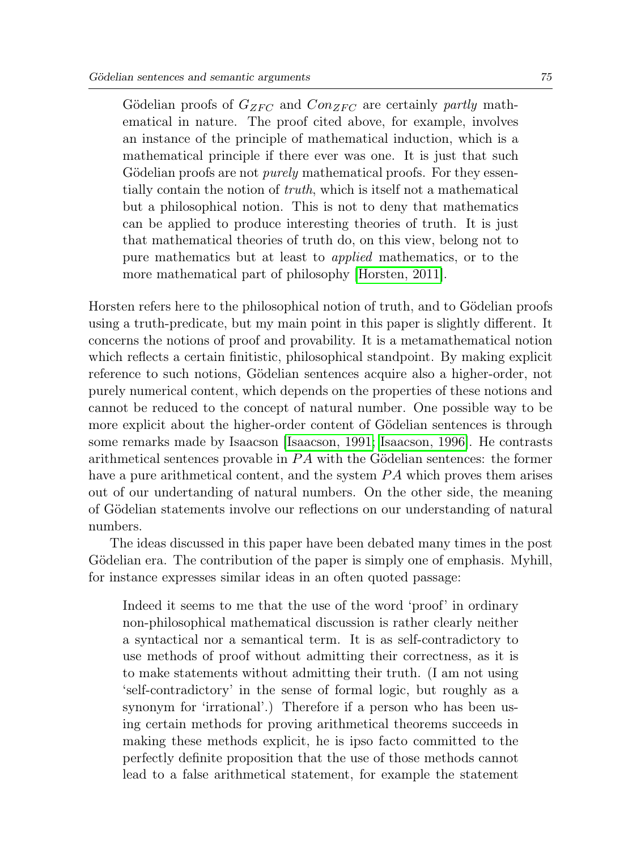Gödelian proofs of  $G_{ZFC}$  and  $Con_{ZFC}$  are certainly partly mathematical in nature. The proof cited above, for example, involves an instance of the principle of mathematical induction, which is a mathematical principle if there ever was one. It is just that such Gödelian proofs are not *purely* mathematical proofs. For they essentially contain the notion of truth, which is itself not a mathematical but a philosophical notion. This is not to deny that mathematics can be applied to produce interesting theories of truth. It is just that mathematical theories of truth do, on this view, belong not to pure mathematics but at least to applied mathematics, or to the more mathematical part of philosophy [Horsten, 2011].

Horsten refers here to the philosophical notion of truth, and to Gödelian proofs using a truth-predicate, but my main point in this paper is slightly different. It concerns the notions of proof and provability. It is a metamathematical notion which reflects a certain finitistic, philosophical standpoint. By making explicit reference to such notions, Gödelian sentences acquire also a higher-order, not purely numerical content, which depends on the properties of these notions and cannot be reduced to the concept of natural number. One possible way to be more explicit about the higher-order content of Gödelian sentences is through some remarks made by Isaacson [Isaacson, 1991; Isaacson, 1996]. He contrasts arithmetical sentences provable in  $PA$  with the Gödelian sentences: the former have a pure arithmetical content, and the system  $PA$  which proves them arises out of our undertanding of natural numbers. On the other side, the meaning of Gödelian statements involve our reflections on our understanding of natural numbers.

The ideas discussed in this paper have been debated many times in the post Gödelian era. The contribution of the paper is simply one of emphasis. Myhill, for instance expresses similar ideas in an often quoted passage:

Indeed it seems to me that the use of the word 'proof' in ordinary non-philosophical mathematical discussion is rather clearly neither a syntactical nor a semantical term. It is as self-contradictory to use methods of proof without admitting their correctness, as it is to make statements without admitting their truth. (I am not using 'self-contradictory' in the sense of formal logic, but roughly as a synonym for 'irrational'.) Therefore if a person who has been using certain methods for proving arithmetical theorems succeeds in making these methods explicit, he is ipso facto committed to the perfectly definite proposition that the use of those methods cannot lead to a false arithmetical statement, for example the statement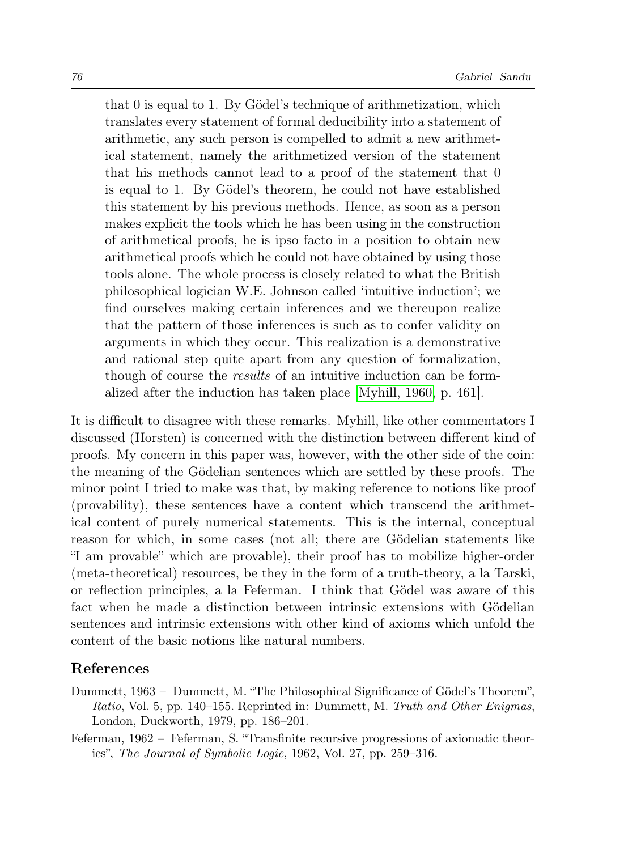that  $\theta$  is equal to 1. By Gödel's technique of arithmetization, which translates every statement of formal deducibility into a statement of arithmetic, any such person is compelled to admit a new arithmetical statement, namely the arithmetized version of the statement that his methods cannot lead to a proof of the statement that 0 is equal to 1. By Gödel's theorem, he could not have established this statement by his previous methods. Hence, as soon as a person makes explicit the tools which he has been using in the construction of arithmetical proofs, he is ipso facto in a position to obtain new arithmetical proofs which he could not have obtained by using those tools alone. The whole process is closely related to what the British philosophical logician W.E. Johnson called 'intuitive induction'; we find ourselves making certain inferences and we thereupon realize that the pattern of those inferences is such as to confer validity on arguments in which they occur. This realization is a demonstrative and rational step quite apart from any question of formalization, though of course the *results* of an intuitive induction can be formalized after the induction has taken place [Myhill, 1960, p. 461].

It is difficult to disagree with these remarks. Myhill, like other commentators I discussed (Horsten) is concerned with the distinction between different kind of proofs. My concern in this paper was, however, with the other side of the coin: the meaning of the Gödelian sentences which are settled by these proofs. The minor point I tried to make was that, by making reference to notions like proof (provability), these sentences have a content which transcend the arithmetical content of purely numerical statements. This is the internal, conceptual reason for which, in some cases (not all; there are Gödelian statements like "I am provable" which are provable), their proof has to mobilize higher-order (meta-theoretical) resources, be they in the form of a truth-theory, a la Tarski, or reflection principles, a la Feferman. I think that Gödel was aware of this fact when he made a distinction between intrinsic extensions with Gödelian sentences and intrinsic extensions with other kind of axioms which unfold the content of the basic notions like natural numbers.

# References

- Dummett, 1963 Dummett, M. "The Philosophical Significance of Gödel's Theorem", Ratio, Vol. 5, pp. 140–155. Reprinted in: Dummett, M. Truth and Other Enigmas, London, Duckworth, 1979, pp. 186–201.
- Feferman, 1962 Feferman, S. "Transfinite recursive progressions of axiomatic theories", The Journal of Symbolic Logic, 1962, Vol. 27, pp. 259–316.